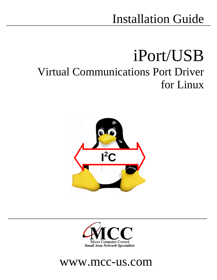### Installation Guide

# iPort/USB Virtual Communications Port Driver for Linux





### www.mcc-us.com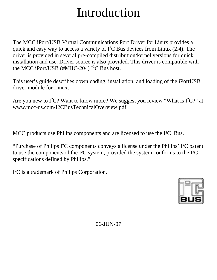## Introduction

The MCC iPort/USB Virtual Communications Port Driver for Linux provides a quick and easy way to access a variety of  $I^2C$  Bus devices from Linux (2.4). The driver is provided in several pre-compiled distribution/kernel versions for quick installation and use. Driver source is also provided. This driver is compatible with the MCC iPort/USB  $(\text{\#MIL-204})$  I<sup>2</sup>C Bus host.

This user's guide describes downloading, installation, and loading of the iPortUSB driver module for Linux.

Are you new to  $I^2C$ ? Want to know more? We suggest you review "What is  $I^2C$ ?" at www.mcc-us.com/I2CBusTechnicalOverview.pdf.

MCC products use Philips components and are licensed to use the I²C Bus.

"Purchase of Philips I²C components conveys a license under the Philips' I²C patent to use the components of the I²C system, provided the system conforms to the I²C specifications defined by Philips."

I²C is a trademark of Philips Corporation.



06-JUN-07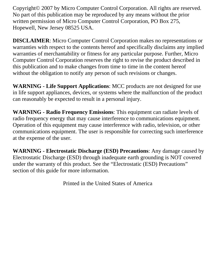Copyright© 2007 by Micro Computer Control Corporation. All rights are reserved. No part of this publication may be reproduced by any means without the prior written permission of Micro Computer Control Corporation, PO Box 275, Hopewell, New Jersey 08525 USA.

**DISCLAIMER**: Micro Computer Control Corporation makes no representations or warranties with respect to the contents hereof and specifically disclaims any implied warranties of merchantability or fitness for any particular purpose. Further, Micro Computer Control Corporation reserves the right to revise the product described in this publication and to make changes from time to time in the content hereof without the obligation to notify any person of such revisions or changes.

**WARNING - Life Support Applications**: MCC products are not designed for use in life support appliances, devices, or systems where the malfunction of the product can reasonably be expected to result in a personal injury.

**WARNING - Radio Frequency Emissions**: This equipment can radiate levels of radio frequency energy that may cause interference to communications equipment. Operation of this equipment may cause interference with radio, television, or other communications equipment. The user is responsible for correcting such interference at the expense of the user.

**WARNING - Electrostatic Discharge (ESD) Precautions**: Any damage caused by Electrostatic Discharge (ESD) through inadequate earth grounding is NOT covered under the warranty of this product. See the "Electrostatic (ESD) Precautions" section of this guide for more information.

Printed in the United States of America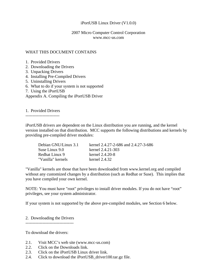#### iPortUSB Linux Driver (V1.0.0)

### 2007 Micro Computer Control Corporation www.mcc-us.com

#### WHAT THIS DOCUMENT CONTAINS

- 1. Provided Drivers
- 2. Downloading the Drivers
- 3. Unpacking Drivers
- 4. Installing Pre-Compiled Drivers
- 5. Uninstalling Drivers
- 6. What to do if your system is not supported
- 7. Using the iPortUSB

Appendix A. Compiling the iPortUSB Driver

1. Provided Drivers

------------------------

iPortUSB drivers are dependent on the Linux distribution you are running, and the kernel version installed on that distribution. MCC supports the following distributions and kernels by providing pre-compiled driver modules:

| Debian GNU/Linux 3.1 | kernel 2.4.27-2-686 and 2.4.27-3-686 |
|----------------------|--------------------------------------|
| Suse Linux 9.0       | kernel 2.4.21-303                    |
| Redhat Linux 9       | kernel 2.4.20-8                      |
| "Vanilla" kernels    | kernel $2.4.32$                      |

"Vanilla" kernels are those that have been downloaded from www.kernel.org and compiled without any customized changes by a distribution (such as Redhat or Suse). This implies that you have compiled your own kernel.

NOTE: You must have "root" privileges to install driver modules. If you do not have "root" privileges, see your system administrator.

If your system is not supported by the above pre-compiled modules, see Section 6 below.

2. Downloading the Drivers ----------------------------------

To download the drivers:

- 2.1. Visit MCC's web site (www.mcc-us.com)
- 2.2. Click on the Downloads link.
- 2.3. Click on the iPortUSB Linux driver link.
- 2.4. Click to download the iPortUSB\_driver100.tar.gz file.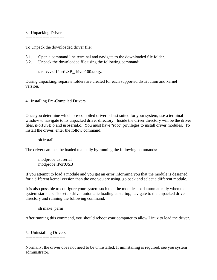#### 3. Unpacking Drivers

---------------------------

To Unpack the downloaded driver file:

- 3.1. Open a command line terminal and navigate to the downloaded file folder.
- 3.2. Unpack the downloaded file using the following command:

tar -xvvzf iPortUSB\_driver100.tar.gz

During unpacking, separate folders are created for each supported distribution and kernel version.

4. Installing Pre-Compiled Drivers

------------------------------------------

Once you determine which pre-compiled driver is best suited for your system, use a terminal window to navigate to its unpacked driver directory. Inside the driver directory will be the driver files, iPortUSB.o and usbserial.o. You must have "root" privileges to install driver modules. To install the driver, enter the follow command:

sh install

The driver can then be loaded manually by running the following commands:

 modprobe usbserial modprobe iPortUSB

If you attempt to load a module and you get an error informing you that the module is designed for a different kernel version than the one you are using, go back and select a different module.

It is also possible to configure your system such that the modules load automatically when the system starts up. To setup driver automatic loading at startup, navigate to the unpacked driver directory and running the following command:

sh make\_perm

After running this command, you should reboot your computer to allow Linux to load the driver.

#### 5. Uninstalling Drivers ----------------------------

Normally, the driver does not need to be uninstalled. If uninstalling is required, see you system administrator.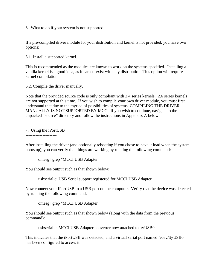6. What to do if your system is not supported

-------------------------------------------------------

If a pre-compiled driver module for your distribution and kernel is not provided, you have two options:

6.1. Install a supported kernel.

This is recommended as the modules are known to work on the systems specified. Installing a vanilla kernel is a good idea, as it can co-exist with any distribution. This option will require kernel compilation.

6.2. Compile the driver manually.

Note that the provided source code is only compliant with 2.4 series kernels. 2.6 series kernels are not supported at this time. If you wish to compile your own driver module, you must first understand that due to the myriad of possibilities of systems, COMPILING THE DRIVER MANUALLY IS NOT SUPPORTED BY MCC. If you wish to continue, navigate to the unpacked "source" directory and follow the instructions in Appendix A below.

7. Using the iPortUSB

----------------------

After installing the driver (and optionally rebooting if you chose to have it load when the system boots up), you can verify that things are working by running the following command:

dmesg | grep "MCCI USB Adapter"

You should see output such as that shown below:

usbserial.c: USB Serial support registered for MCCI USB Adapter

Now connect your iPortUSB to a USB port on the computer. Verify that the device was detected by running the following command:

dmesg | grep "MCCI USB Adapter"

You should see output such as that shown below (along with the data from the previous command):

usbserial.c: MCCI USB Adapter converter now attached to ttyUSB0

This indicates that the iPortUSB was detected, and a virtual serial port named "/dev/ttyUSB0" has been configured to access it.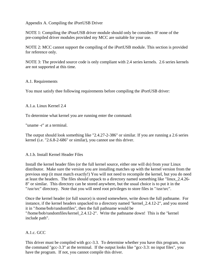Appendix A. Compiling the iPortUSB Driver

NOTE 1: Compiling the iPourUSB driver module should only be considers IF none of the pre-compiled driver modules provided my MCC are suitable for your use.

NOTE 2: MCC cannot support the compiling of the iPortUSB module. This section is provided for reference only.

NOTE 3: The provided source code is only compliant with 2.4 series kernels. 2.6 series kernels are not supported at this time.

#### A.1. Requirements

You must satisfy thee following requirements before compiling the iPortUSB driver:

#### A.1.a. Linux Kernel 2.4

To determine what kernel you are running enter the command:

"uname -r" at a terminal.

The output should look something like "2.4.27-2-386" or similar. If you are running a 2.6 series kernel (i.e. "2.6.8-2-686" or similar), you cannot use this driver.

### A.1.b. Install Kernel Header Files

Install the kernel header files (or the full kernel source, either one will do) from your Linux distributor. Make sure the version you are installing matches up with the kernel version from the previous step (it must match exactly!) You will not need to recompile the kernel, but you do need at least the headers. The files should unpack to a directory named something like "linux\_2.4.26- 8" or similar. This directory can be stored anywhere, but the usual choice is to put it in the "/usr/src" directory. Note that you will need root privileges to store files in "/usr/src".

Once the kernel header (or full source) is stored somewhere, write down the full pathname. For instance, if the kernel headers unpacked to a directory named "kernel\_2.4.12-2", and you stored it in "/home/bob/randomfiles", then the full pathname would be "/home/bob/randomfiles/kernel\_2.4.12-2". Write the pathname down! This is the "kernel include path".

### A.1.c. GCC

This driver must be compiled with gcc-3.3. To determine whether you have this program, run the command "gcc-3.3" at the terminal. If the output looks like "gcc-3.3: no input files", you have the program. If not, you cannot compile this driver.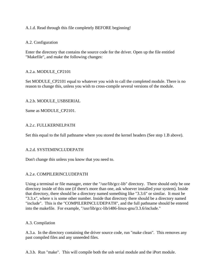### A.1.d. Read through this file completely BEFORE beginning!

### A.2. Configuration

Enter the directory that contains the source code for the driver. Open up the file entitled "Makefile", and make the following changes:

### A.2.a. MODULE\_CP2101

Set MODULE\_CP2101 equal to whatever you wish to call the completed module. There is no reason to change this, unless you wish to cross-compile several versions of the module.

#### A.2.b. MODULE\_USBSERIAL

Same as MODULE\_CP2101.

### A.2.c. FULLKERNELPATH

Set this equal to the full pathname where you stored the kernel headers (See step 1.B above).

### A.2.d. SYSTEMINCLUDEPATH

Don't change this unless you know that you need to.

### A.2.e. COMPILERINCLUDEPATH

Using a terminal or file manager, enter the "/usr/lib/gcc-lib" directory. There should only be one directory inside of this one (if there's more than one, ask whoever installed your system). Inside that directory, there should be a directory named something like "3.3.6" or similar. It must be "3.3.x", where x is some other number. Inside that directory there should be a directory named "include". This is the "COMPILERINCLUDEPATH", and the full pathname should be entered into the makefile. For example, "/usr/lib/gcc-lib/i486-linux-gnu/3.3.6/include."

#### A.3. Compilation

A.3.a. In the directory containing the driver source code, run "make clean". This removes any past compiled files and any unneeded files.

A.3.b. Run "make". This will compile both the usb serial module and the iPort module.